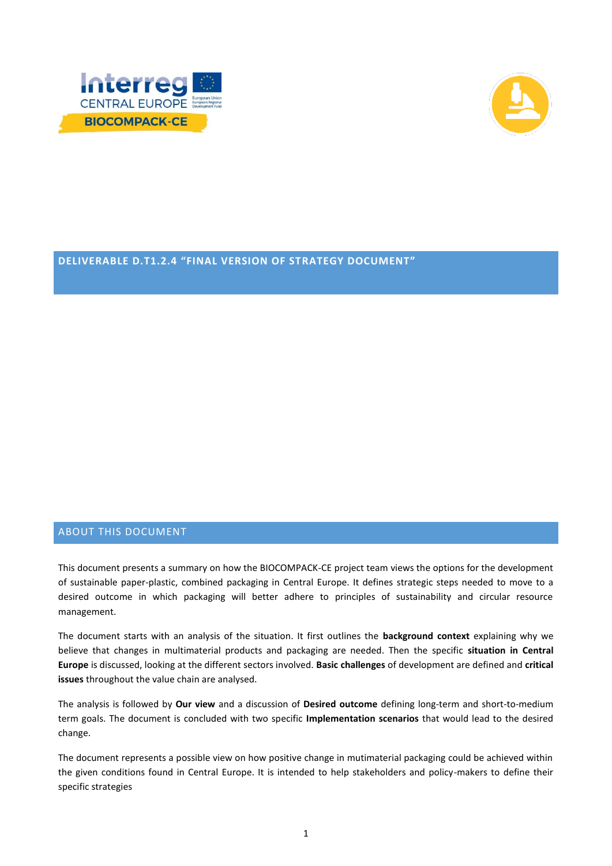



# **DELIVERABLE D.T1.2.4 "FINAL VERSION OF STRATEGY DOCUMENT"**

# ABOUT THIS DOCUMENT

This document presents a summary on how the BIOCOMPACK-CE project team views the options for the development of sustainable paper-plastic, combined packaging in Central Europe. It defines strategic steps needed to move to a desired outcome in which packaging will better adhere to principles of sustainability and circular resource management.

The document starts with an analysis of the situation. It first outlines the **background context** explaining why we believe that changes in multimaterial products and packaging are needed. Then the specific **situation in Central Europe** is discussed, looking at the different sectors involved. **Basic challenges** of development are defined and **critical issues** throughout the value chain are analysed.

The analysis is followed by **Our view** and a discussion of **Desired outcome** defining long-term and short-to-medium term goals. The document is concluded with two specific **Implementation scenarios** that would lead to the desired change.

The document represents a possible view on how positive change in mutimaterial packaging could be achieved within the given conditions found in Central Europe. It is intended to help stakeholders and policy-makers to define their specific strategies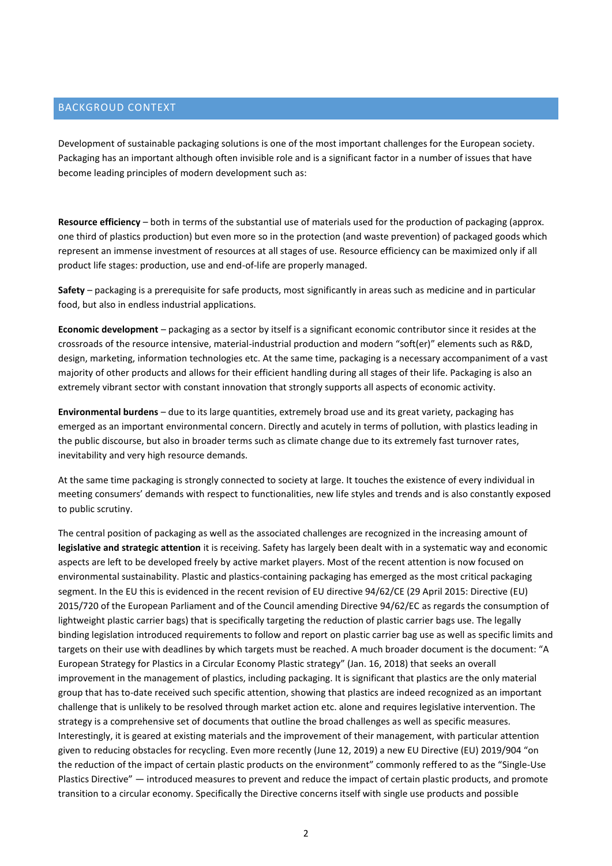# BACKGROUD CONTEXT

Development of sustainable packaging solutions is one of the most important challenges for the European society. Packaging has an important although often invisible role and is a significant factor in a number of issues that have become leading principles of modern development such as:

**Resource efficiency** – both in terms of the substantial use of materials used for the production of packaging (approx. one third of plastics production) but even more so in the protection (and waste prevention) of packaged goods which represent an immense investment of resources at all stages of use. Resource efficiency can be maximized only if all product life stages: production, use and end-of-life are properly managed.

**Safety** – packaging is a prerequisite for safe products, most significantly in areas such as medicine and in particular food, but also in endless industrial applications.

**Economic development** – packaging as a sector by itself is a significant economic contributor since it resides at the crossroads of the resource intensive, material-industrial production and modern "soft(er)" elements such as R&D, design, marketing, information technologies etc. At the same time, packaging is a necessary accompaniment of a vast majority of other products and allows for their efficient handling during all stages of their life. Packaging is also an extremely vibrant sector with constant innovation that strongly supports all aspects of economic activity.

**Environmental burdens** – due to its large quantities, extremely broad use and its great variety, packaging has emerged as an important environmental concern. Directly and acutely in terms of pollution, with plastics leading in the public discourse, but also in broader terms such as climate change due to its extremely fast turnover rates, inevitability and very high resource demands.

At the same time packaging is strongly connected to society at large. It touches the existence of every individual in meeting consumers' demands with respect to functionalities, new life styles and trends and is also constantly exposed to public scrutiny.

The central position of packaging as well as the associated challenges are recognized in the increasing amount of **legislative and strategic attention** it is receiving. Safety has largely been dealt with in a systematic way and economic aspects are left to be developed freely by active market players. Most of the recent attention is now focused on environmental sustainability. Plastic and plastics-containing packaging has emerged as the most critical packaging segment. In the EU this is evidenced in the recent revision of EU directive 94/62/CE (29 April 2015: Directive (EU) 2015/720 of the European Parliament and of the Council amending Directive 94/62/EC as regards the consumption of lightweight plastic carrier bags) that is specifically targeting the reduction of plastic carrier bags use. The legally binding legislation introduced requirements to follow and report on plastic carrier bag use as well as specific limits and targets on their use with deadlines by which targets must be reached. A much broader document is the document: "A European Strategy for Plastics in a Circular Economy Plastic strategy" (Jan. 16, 2018) that seeks an overall improvement in the management of plastics, including packaging. It is significant that plastics are the only material group that has to-date received such specific attention, showing that plastics are indeed recognized as an important challenge that is unlikely to be resolved through market action etc. alone and requires legislative intervention. The strategy is a comprehensive set of documents that outline the broad challenges as well as specific measures. Interestingly, it is geared at existing materials and the improvement of their management, with particular attention given to reducing obstacles for recycling. Even more recently (June 12, 2019) a new EU Directive (EU) 2019/904 "on the reduction of the impact of certain plastic products on the environment" commonly reffered to as the "Single-Use Plastics Directive" — introduced measures to prevent and reduce the impact of certain plastic products, and promote transition to a circular economy. Specifically the Directive concerns itself with single use products and possible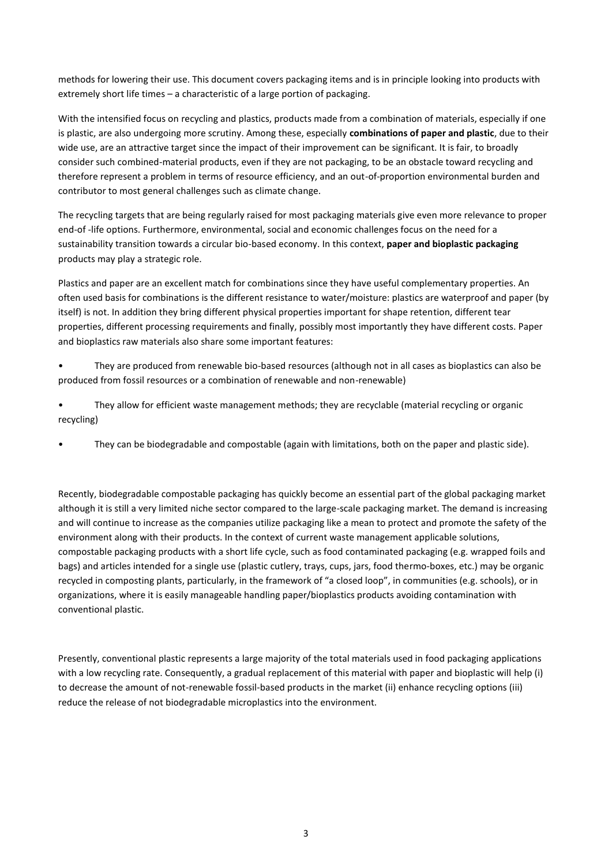methods for lowering their use. This document covers packaging items and is in principle looking into products with extremely short life times – a characteristic of a large portion of packaging.

With the intensified focus on recycling and plastics, products made from a combination of materials, especially if one is plastic, are also undergoing more scrutiny. Among these, especially **combinations of paper and plastic**, due to their wide use, are an attractive target since the impact of their improvement can be significant. It is fair, to broadly consider such combined-material products, even if they are not packaging, to be an obstacle toward recycling and therefore represent a problem in terms of resource efficiency, and an out-of-proportion environmental burden and contributor to most general challenges such as climate change.

The recycling targets that are being regularly raised for most packaging materials give even more relevance to proper end-of -life options. Furthermore, environmental, social and economic challenges focus on the need for a sustainability transition towards a circular bio-based economy. In this context, **paper and bioplastic packaging** products may play a strategic role.

Plastics and paper are an excellent match for combinations since they have useful complementary properties. An often used basis for combinations is the different resistance to water/moisture: plastics are waterproof and paper (by itself) is not. In addition they bring different physical properties important for shape retention, different tear properties, different processing requirements and finally, possibly most importantly they have different costs. Paper and bioplastics raw materials also share some important features:

- They are produced from renewable bio-based resources (although not in all cases as bioplastics can also be produced from fossil resources or a combination of renewable and non-renewable)
- They allow for efficient waste management methods; they are recyclable (material recycling or organic recycling)
- They can be biodegradable and compostable (again with limitations, both on the paper and plastic side).

Recently, biodegradable compostable packaging has quickly become an essential part of the global packaging market although it is still a very limited niche sector compared to the large-scale packaging market. The demand is increasing and will continue to increase as the companies utilize packaging like a mean to protect and promote the safety of the environment along with their products. In the context of current waste management applicable solutions, compostable packaging products with a short life cycle, such as food contaminated packaging (e.g. wrapped foils and bags) and articles intended for a single use (plastic cutlery, trays, cups, jars, food thermo-boxes, etc.) may be organic recycled in composting plants, particularly, in the framework of "a closed loop", in communities (e.g. schools), or in organizations, where it is easily manageable handling paper/bioplastics products avoiding contamination with conventional plastic.

Presently, conventional plastic represents a large majority of the total materials used in food packaging applications with a low recycling rate. Consequently, a gradual replacement of this material with paper and bioplastic will help (i) to decrease the amount of not-renewable fossil-based products in the market (ii) enhance recycling options (iii) reduce the release of not biodegradable microplastics into the environment.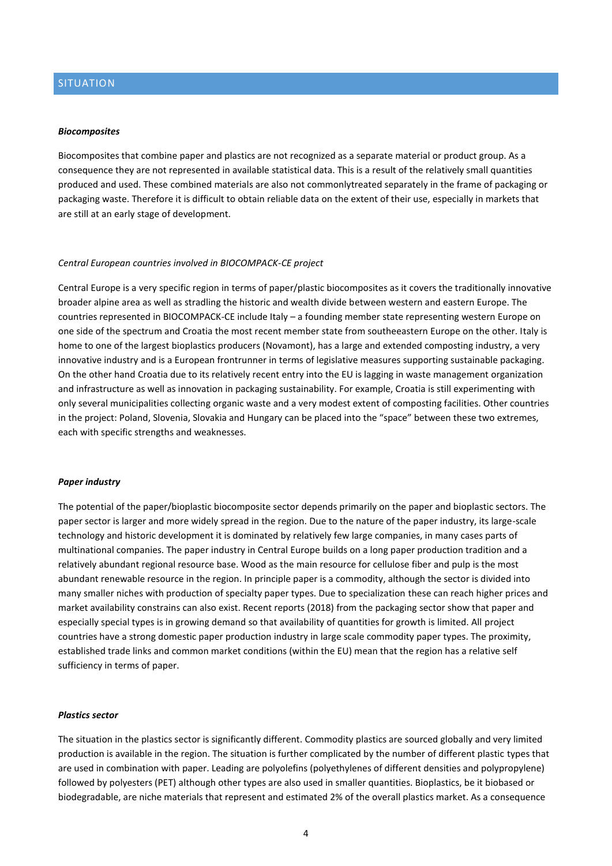# SITUATION

#### *Biocomposites*

Biocomposites that combine paper and plastics are not recognized as a separate material or product group. As a consequence they are not represented in available statistical data. This is a result of the relatively small quantities produced and used. These combined materials are also not commonlytreated separately in the frame of packaging or packaging waste. Therefore it is difficult to obtain reliable data on the extent of their use, especially in markets that are still at an early stage of development.

#### *Central European countries involved in BIOCOMPACK-CE project*

Central Europe is a very specific region in terms of paper/plastic biocomposites as it covers the traditionally innovative broader alpine area as well as stradling the historic and wealth divide between western and eastern Europe. The countries represented in BIOCOMPACK-CE include Italy – a founding member state representing western Europe on one side of the spectrum and Croatia the most recent member state from southeeastern Europe on the other. Italy is home to one of the largest bioplastics producers (Novamont), has a large and extended composting industry, a very innovative industry and is a European frontrunner in terms of legislative measures supporting sustainable packaging. On the other hand Croatia due to its relatively recent entry into the EU is lagging in waste management organization and infrastructure as well as innovation in packaging sustainability. For example, Croatia is still experimenting with only several municipalities collecting organic waste and a very modest extent of composting facilities. Other countries in the project: Poland, Slovenia, Slovakia and Hungary can be placed into the "space" between these two extremes, each with specific strengths and weaknesses.

#### *Paper industry*

The potential of the paper/bioplastic biocomposite sector depends primarily on the paper and bioplastic sectors. The paper sector is larger and more widely spread in the region. Due to the nature of the paper industry, its large-scale technology and historic development it is dominated by relatively few large companies, in many cases parts of multinational companies. The paper industry in Central Europe builds on a long paper production tradition and a relatively abundant regional resource base. Wood as the main resource for cellulose fiber and pulp is the most abundant renewable resource in the region. In principle paper is a commodity, although the sector is divided into many smaller niches with production of specialty paper types. Due to specialization these can reach higher prices and market availability constrains can also exist. Recent reports (2018) from the packaging sector show that paper and especially special types is in growing demand so that availability of quantities for growth is limited. All project countries have a strong domestic paper production industry in large scale commodity paper types. The proximity, established trade links and common market conditions (within the EU) mean that the region has a relative self sufficiency in terms of paper.

#### *Plastics sector*

The situation in the plastics sector is significantly different. Commodity plastics are sourced globally and very limited production is available in the region. The situation is further complicated by the number of different plastic types that are used in combination with paper. Leading are polyolefins (polyethylenes of different densities and polypropylene) followed by polyesters (PET) although other types are also used in smaller quantities. Bioplastics, be it biobased or biodegradable, are niche materials that represent and estimated 2% of the overall plastics market. As a consequence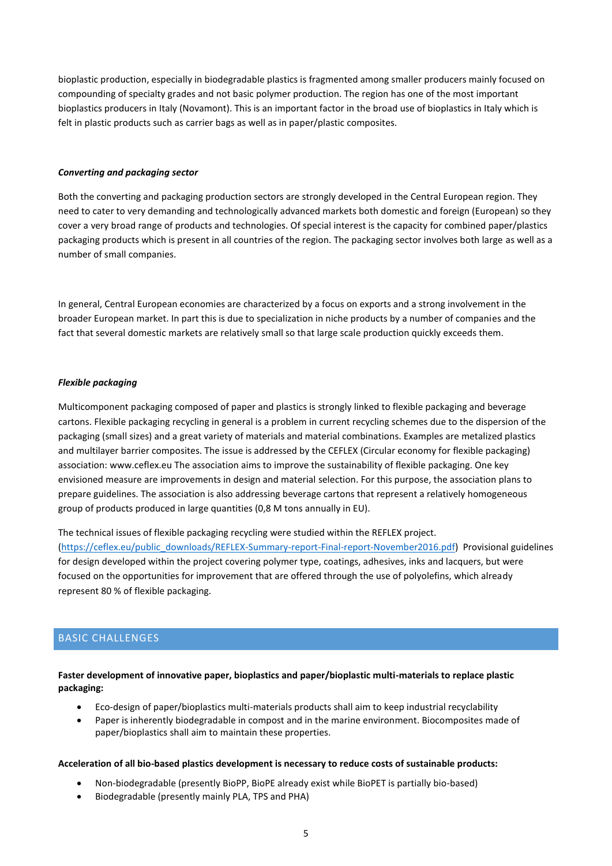bioplastic production, especially in biodegradable plastics is fragmented among smaller producers mainly focused on compounding of specialty grades and not basic polymer production. The region has one of the most important bioplastics producers in Italy (Novamont). This is an important factor in the broad use of bioplastics in Italy which is felt in plastic products such as carrier bags as well as in paper/plastic composites.

#### *Converting and packaging sector*

Both the converting and packaging production sectors are strongly developed in the Central European region. They need to cater to very demanding and technologically advanced markets both domestic and foreign (European) so they cover a very broad range of products and technologies. Of special interest is the capacity for combined paper/plastics packaging products which is present in all countries of the region. The packaging sector involves both large as well as a number of small companies.

In general, Central European economies are characterized by a focus on exports and a strong involvement in the broader European market. In part this is due to specialization in niche products by a number of companies and the fact that several domestic markets are relatively small so that large scale production quickly exceeds them.

#### *Flexible packaging*

Multicomponent packaging composed of paper and plastics is strongly linked to flexible packaging and beverage cartons. Flexible packaging recycling in general is a problem in current recycling schemes due to the dispersion of the packaging (small sizes) and a great variety of materials and material combinations. Examples are metalized plastics and multilayer barrier composites. The issue is addressed by the CEFLEX (Circular economy for flexible packaging) association: www.ceflex.eu The association aims to improve the sustainability of flexible packaging. One key envisioned measure are improvements in design and material selection. For this purpose, the association plans to prepare guidelines. The association is also addressing beverage cartons that represent a relatively homogeneous group of products produced in large quantities (0,8 M tons annually in EU).

The technical issues of flexible packaging recycling were studied within the REFLEX project.

[\(https://ceflex.eu/public\\_downloads/REFLEX-Summary-report-Final-report-November2016.pdf\)](https://ceflex.eu/public_downloads/REFLEX-Summary-report-Final-report-November2016.pdf) Provisional guidelines for design developed within the project covering polymer type, coatings, adhesives, inks and lacquers, but were focused on the opportunities for improvement that are offered through the use of polyolefins, which already represent 80 % of flexible packaging.

# BASIC CHALLENGES

## **Faster development of innovative paper, bioplastics and paper/bioplastic multi-materials to replace plastic packaging:**

- Eco-design of paper/bioplastics multi-materials products shall aim to keep industrial recyclability
- Paper is inherently biodegradable in compost and in the marine environment. Biocomposites made of paper/bioplastics shall aim to maintain these properties.

#### **Acceleration of all bio-based plastics development is necessary to reduce costs of sustainable products:**

- Non-biodegradable (presently BioPP, BioPE already exist while BioPET is partially bio-based)
- Biodegradable (presently mainly PLA, TPS and PHA)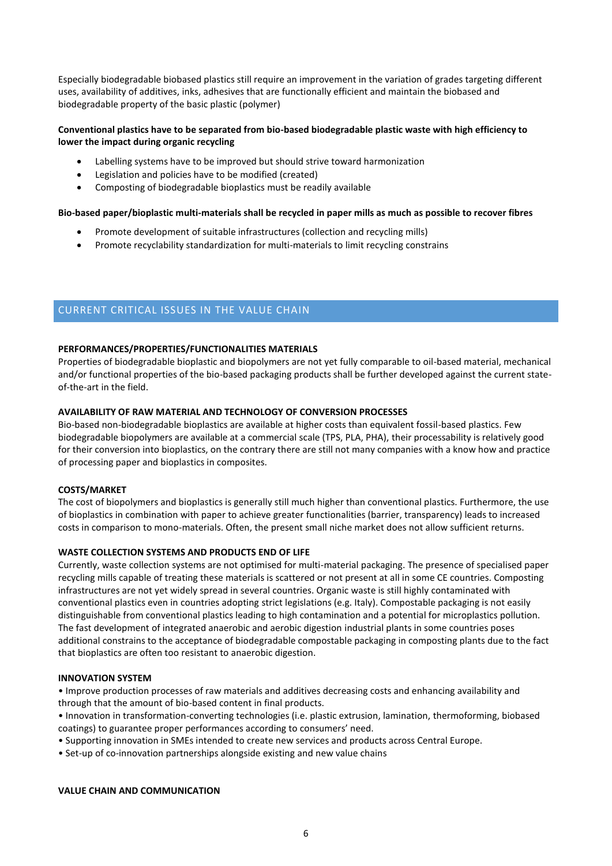Especially biodegradable biobased plastics still require an improvement in the variation of grades targeting different uses, availability of additives, inks, adhesives that are functionally efficient and maintain the biobased and biodegradable property of the basic plastic (polymer)

# **Conventional plastics have to be separated from bio-based biodegradable plastic waste with high efficiency to lower the impact during organic recycling**

- Labelling systems have to be improved but should strive toward harmonization
- Legislation and policies have to be modified (created)
- Composting of biodegradable bioplastics must be readily available

### **Bio-based paper/bioplastic multi-materials shall be recycled in paper mills as much as possible to recover fibres**

- Promote development of suitable infrastructures (collection and recycling mills)
- Promote recyclability standardization for multi-materials to limit recycling constrains

# CURRENT CRITICAL ISSUES IN THE VALUE CHAIN

## **PERFORMANCES/PROPERTIES/FUNCTIONALITIES MATERIALS**

Properties of biodegradable bioplastic and biopolymers are not yet fully comparable to oil-based material, mechanical and/or functional properties of the bio-based packaging products shall be further developed against the current stateof-the-art in the field.

## **AVAILABILITY OF RAW MATERIAL AND TECHNOLOGY OF CONVERSION PROCESSES**

Bio-based non-biodegradable bioplastics are available at higher costs than equivalent fossil-based plastics. Few biodegradable biopolymers are available at a commercial scale (TPS, PLA, PHA), their processability is relatively good for their conversion into bioplastics, on the contrary there are still not many companies with a know how and practice of processing paper and bioplastics in composites.

## **COSTS/MARKET**

The cost of biopolymers and bioplastics is generally still much higher than conventional plastics. Furthermore, the use of bioplastics in combination with paper to achieve greater functionalities (barrier, transparency) leads to increased costs in comparison to mono-materials. Often, the present small niche market does not allow sufficient returns.

## **WASTE COLLECTION SYSTEMS AND PRODUCTS END OF LIFE**

Currently, waste collection systems are not optimised for multi-material packaging. The presence of specialised paper recycling mills capable of treating these materials is scattered or not present at all in some CE countries. Composting infrastructures are not yet widely spread in several countries. Organic waste is still highly contaminated with conventional plastics even in countries adopting strict legislations (e.g. Italy). Compostable packaging is not easily distinguishable from conventional plastics leading to high contamination and a potential for microplastics pollution. The fast development of integrated anaerobic and aerobic digestion industrial plants in some countries poses additional constrains to the acceptance of biodegradable compostable packaging in composting plants due to the fact that bioplastics are often too resistant to anaerobic digestion.

## **INNOVATION SYSTEM**

• Improve production processes of raw materials and additives decreasing costs and enhancing availability and through that the amount of bio-based content in final products.

• Innovation in transformation-converting technologies (i.e. plastic extrusion, lamination, thermoforming, biobased coatings) to guarantee proper performances according to consumers' need.

- Supporting innovation in SMEs intended to create new services and products across Central Europe.
- Set-up of co-innovation partnerships alongside existing and new value chains

## **VALUE CHAIN AND COMMUNICATION**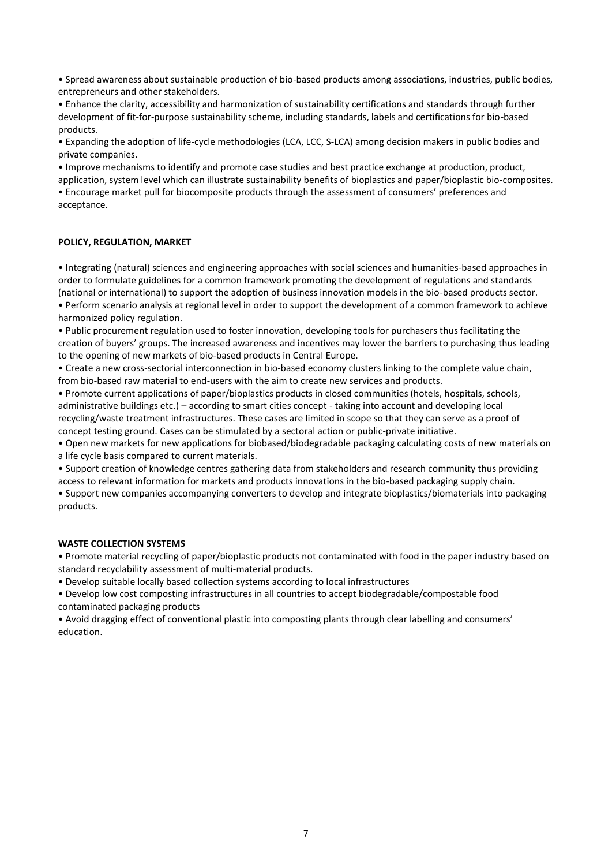• Spread awareness about sustainable production of bio-based products among associations, industries, public bodies, entrepreneurs and other stakeholders.

• Enhance the clarity, accessibility and harmonization of sustainability certifications and standards through further development of fit-for-purpose sustainability scheme, including standards, labels and certifications for bio-based products.

• Expanding the adoption of life-cycle methodologies (LCA, LCC, S-LCA) among decision makers in public bodies and private companies.

• Improve mechanisms to identify and promote case studies and best practice exchange at production, product,

application, system level which can illustrate sustainability benefits of bioplastics and paper/bioplastic bio-composites. • Encourage market pull for biocomposite products through the assessment of consumers' preferences and acceptance.

## **POLICY, REGULATION, MARKET**

• Integrating (natural) sciences and engineering approaches with social sciences and humanities-based approaches in order to formulate guidelines for a common framework promoting the development of regulations and standards (national or international) to support the adoption of business innovation models in the bio-based products sector. • Perform scenario analysis at regional level in order to support the development of a common framework to achieve

harmonized policy regulation.

• Public procurement regulation used to foster innovation, developing tools for purchasers thus facilitating the creation of buyers' groups. The increased awareness and incentives may lower the barriers to purchasing thus leading to the opening of new markets of bio-based products in Central Europe.

• Create a new cross-sectorial interconnection in bio-based economy clusters linking to the complete value chain, from bio-based raw material to end-users with the aim to create new services and products.

• Promote current applications of paper/bioplastics products in closed communities (hotels, hospitals, schools, administrative buildings etc.) – according to smart cities concept - taking into account and developing local recycling/waste treatment infrastructures. These cases are limited in scope so that they can serve as a proof of concept testing ground. Cases can be stimulated by a sectoral action or public-private initiative.

• Open new markets for new applications for biobased/biodegradable packaging calculating costs of new materials on a life cycle basis compared to current materials.

• Support creation of knowledge centres gathering data from stakeholders and research community thus providing access to relevant information for markets and products innovations in the bio-based packaging supply chain.

• Support new companies accompanying converters to develop and integrate bioplastics/biomaterials into packaging products.

## **WASTE COLLECTION SYSTEMS**

• Promote material recycling of paper/bioplastic products not contaminated with food in the paper industry based on standard recyclability assessment of multi-material products.

• Develop suitable locally based collection systems according to local infrastructures

• Develop low cost composting infrastructures in all countries to accept biodegradable/compostable food contaminated packaging products

• Avoid dragging effect of conventional plastic into composting plants through clear labelling and consumers' education.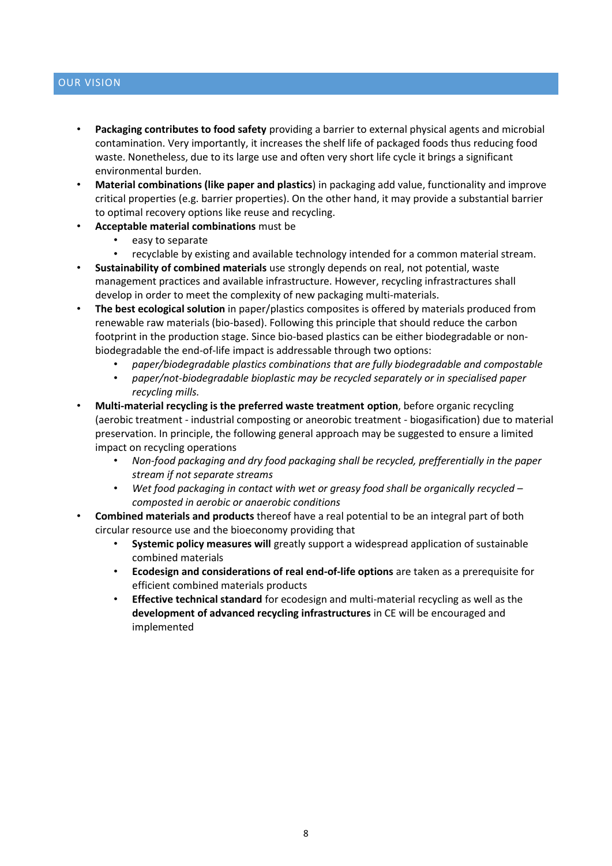# OUR VISION

- **Packaging contributes to food safety** providing a barrier to external physical agents and microbial contamination. Very importantly, it increases the shelf life of packaged foods thus reducing food waste. Nonetheless, due to its large use and often very short life cycle it brings a significant environmental burden.
- **Material combinations (like paper and plastics**) in packaging add value, functionality and improve critical properties (e.g. barrier properties). On the other hand, it may provide a substantial barrier to optimal recovery options like reuse and recycling.
- **Acceptable material combinations** must be
	- easy to separate
	- recyclable by existing and available technology intended for a common material stream.
- **Sustainability of combined materials** use strongly depends on real, not potential, waste management practices and available infrastructure. However, recycling infrastractures shall develop in order to meet the complexity of new packaging multi-materials.
- **The best ecological solution** in paper/plastics composites is offered by materials produced from renewable raw materials (bio-based). Following this principle that should reduce the carbon footprint in the production stage. Since bio-based plastics can be either biodegradable or nonbiodegradable the end-of-life impact is addressable through two options:
	- *paper/biodegradable plastics combinations that are fully biodegradable and compostable*
	- *paper/not-biodegradable bioplastic may be recycled separately or in specialised paper recycling mills.*
- **Multi-material recycling is the preferred waste treatment option**, before organic recycling (aerobic treatment - industrial composting or aneorobic treatment - biogasification) due to material preservation. In principle, the following general approach may be suggested to ensure a limited impact on recycling operations
	- *Non-food packaging and dry food packaging shall be recycled, prefferentially in the paper stream if not separate streams*
	- *Wet food packaging in contact with wet or greasy food shall be organically recycled – composted in aerobic or anaerobic conditions*
- **Combined materials and products** thereof have a real potential to be an integral part of both circular resource use and the bioeconomy providing that
	- **Systemic policy measures will** greatly support a widespread application of sustainable combined materials
	- **Ecodesign and considerations of real end-of-life options** are taken as a prerequisite for efficient combined materials products
	- **Effective technical standard** for ecodesign and multi-material recycling as well as the **development of advanced recycling infrastructures** in CE will be encouraged and implemented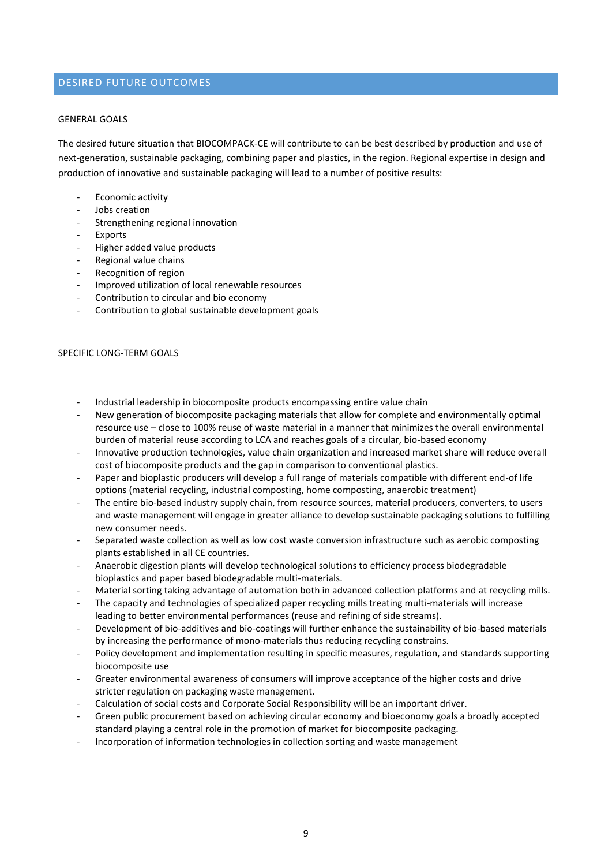# DESIRED FUTURE OUTCOMES

#### GENERAL GOALS

The desired future situation that BIOCOMPACK-CE will contribute to can be best described by production and use of next-generation, sustainable packaging, combining paper and plastics, in the region. Regional expertise in design and production of innovative and sustainable packaging will lead to a number of positive results:

- Economic activity
- Jobs creation
- Strengthening regional innovation
- **Exports**
- Higher added value products
- Regional value chains
- Recognition of region
- Improved utilization of local renewable resources
- Contribution to circular and bio economy
- Contribution to global sustainable development goals

#### SPECIFIC LONG-TERM GOALS

- Industrial leadership in biocomposite products encompassing entire value chain
- New generation of biocomposite packaging materials that allow for complete and environmentally optimal resource use – close to 100% reuse of waste material in a manner that minimizes the overall environmental burden of material reuse according to LCA and reaches goals of a circular, bio-based economy
- Innovative production technologies, value chain organization and increased market share will reduce overall cost of biocomposite products and the gap in comparison to conventional plastics.
- Paper and bioplastic producers will develop a full range of materials compatible with different end-of life options (material recycling, industrial composting, home composting, anaerobic treatment)
- The entire bio-based industry supply chain, from resource sources, material producers, converters, to users and waste management will engage in greater alliance to develop sustainable packaging solutions to fulfilling new consumer needs.
- Separated waste collection as well as low cost waste conversion infrastructure such as aerobic composting plants established in all CE countries.
- Anaerobic digestion plants will develop technological solutions to efficiency process biodegradable bioplastics and paper based biodegradable multi-materials.
- Material sorting taking advantage of automation both in advanced collection platforms and at recycling mills.
- The capacity and technologies of specialized paper recycling mills treating multi-materials will increase leading to better environmental performances (reuse and refining of side streams).
- Development of bio-additives and bio-coatings will further enhance the sustainability of bio-based materials by increasing the performance of mono-materials thus reducing recycling constrains.
- Policy development and implementation resulting in specific measures, regulation, and standards supporting biocomposite use
- Greater environmental awareness of consumers will improve acceptance of the higher costs and drive stricter regulation on packaging waste management.
- Calculation of social costs and Corporate Social Responsibility will be an important driver.
- Green public procurement based on achieving circular economy and bioeconomy goals a broadly accepted standard playing a central role in the promotion of market for biocomposite packaging.
- Incorporation of information technologies in collection sorting and waste management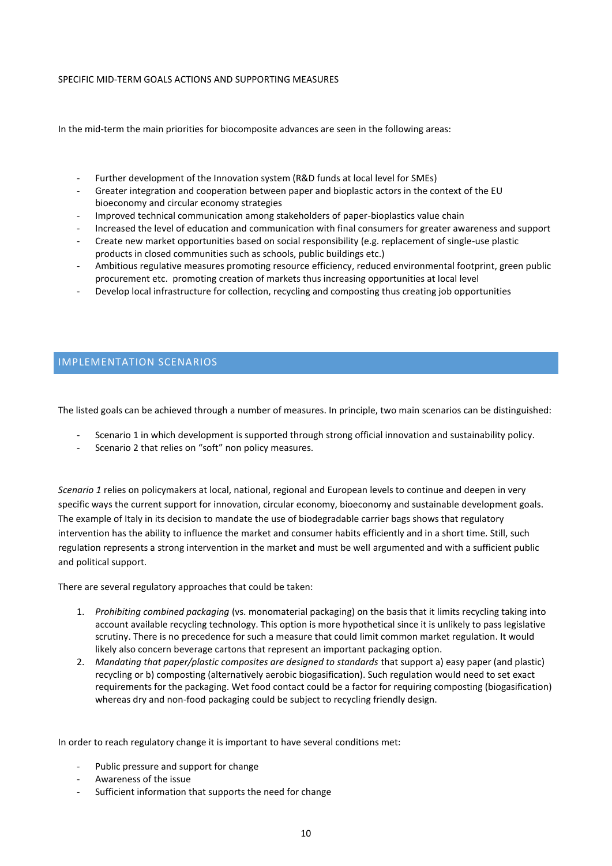## SPECIFIC MID-TERM GOALS ACTIONS AND SUPPORTING MEASURES

In the mid-term the main priorities for biocomposite advances are seen in the following areas:

- Further development of the Innovation system (R&D funds at local level for SMEs)
- Greater integration and cooperation between paper and bioplastic actors in the context of the EU bioeconomy and circular economy strategies
- Improved technical communication among stakeholders of paper-bioplastics value chain
- Increased the level of education and communication with final consumers for greater awareness and support
- Create new market opportunities based on social responsibility (e.g. replacement of single-use plastic products in closed communities such as schools, public buildings etc.)
- Ambitious regulative measures promoting resource efficiency, reduced environmental footprint, green public procurement etc. promoting creation of markets thus increasing opportunities at local level
- Develop local infrastructure for collection, recycling and composting thus creating job opportunities

# IMPLEMENTATION SCENARIOS

The listed goals can be achieved through a number of measures. In principle, two main scenarios can be distinguished:

- Scenario 1 in which development is supported through strong official innovation and sustainability policy.
- Scenario 2 that relies on "soft" non policy measures.

*Scenario 1* relies on policymakers at local, national, regional and European levels to continue and deepen in very specific ways the current support for innovation, circular economy, bioeconomy and sustainable development goals. The example of Italy in its decision to mandate the use of biodegradable carrier bags shows that regulatory intervention has the ability to influence the market and consumer habits efficiently and in a short time. Still, such regulation represents a strong intervention in the market and must be well argumented and with a sufficient public and political support.

There are several regulatory approaches that could be taken:

- 1. *Prohibiting combined packaging* (vs. monomaterial packaging) on the basis that it limits recycling taking into account available recycling technology. This option is more hypothetical since it is unlikely to pass legislative scrutiny. There is no precedence for such a measure that could limit common market regulation. It would likely also concern beverage cartons that represent an important packaging option.
- 2. *Mandating that paper/plastic composites are designed to standards* that support a) easy paper (and plastic) recycling or b) composting (alternatively aerobic biogasification). Such regulation would need to set exact requirements for the packaging. Wet food contact could be a factor for requiring composting (biogasification) whereas dry and non-food packaging could be subject to recycling friendly design.

In order to reach regulatory change it is important to have several conditions met:

- Public pressure and support for change
- Awareness of the issue
- Sufficient information that supports the need for change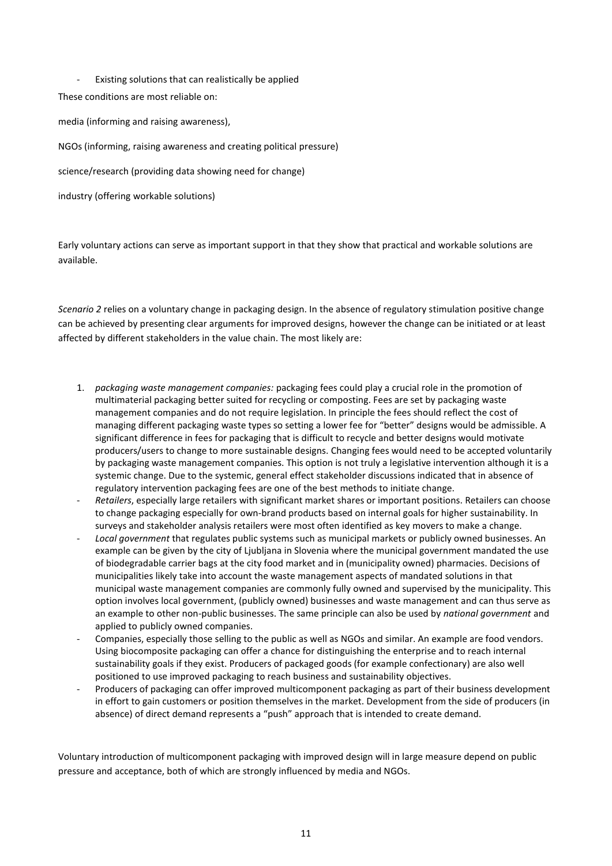Existing solutions that can realistically be applied These conditions are most reliable on: media (informing and raising awareness), NGOs (informing, raising awareness and creating political pressure) science/research (providing data showing need for change) industry (offering workable solutions)

Early voluntary actions can serve as important support in that they show that practical and workable solutions are available.

*Scenario 2* relies on a voluntary change in packaging design. In the absence of regulatory stimulation positive change can be achieved by presenting clear arguments for improved designs, however the change can be initiated or at least affected by different stakeholders in the value chain. The most likely are:

- 1. *packaging waste management companies:* packaging fees could play a crucial role in the promotion of multimaterial packaging better suited for recycling or composting. Fees are set by packaging waste management companies and do not require legislation. In principle the fees should reflect the cost of managing different packaging waste types so setting a lower fee for "better" designs would be admissible. A significant difference in fees for packaging that is difficult to recycle and better designs would motivate producers/users to change to more sustainable designs. Changing fees would need to be accepted voluntarily by packaging waste management companies. This option is not truly a legislative intervention although it is a systemic change. Due to the systemic, general effect stakeholder discussions indicated that in absence of regulatory intervention packaging fees are one of the best methods to initiate change.
- *Retailers*, especially large retailers with significant market shares or important positions. Retailers can choose to change packaging especially for own-brand products based on internal goals for higher sustainability. In surveys and stakeholder analysis retailers were most often identified as key movers to make a change.
- *Local government* that regulates public systems such as municipal markets or publicly owned businesses. An example can be given by the city of Ljubljana in Slovenia where the municipal government mandated the use of biodegradable carrier bags at the city food market and in (municipality owned) pharmacies. Decisions of municipalities likely take into account the waste management aspects of mandated solutions in that municipal waste management companies are commonly fully owned and supervised by the municipality. This option involves local government, (publicly owned) businesses and waste management and can thus serve as an example to other non-public businesses. The same principle can also be used by *national government* and applied to publicly owned companies.
- Companies, especially those selling to the public as well as NGOs and similar. An example are food vendors. Using biocomposite packaging can offer a chance for distinguishing the enterprise and to reach internal sustainability goals if they exist. Producers of packaged goods (for example confectionary) are also well positioned to use improved packaging to reach business and sustainability objectives.
- Producers of packaging can offer improved multicomponent packaging as part of their business development in effort to gain customers or position themselves in the market. Development from the side of producers (in absence) of direct demand represents a "push" approach that is intended to create demand.

Voluntary introduction of multicomponent packaging with improved design will in large measure depend on public pressure and acceptance, both of which are strongly influenced by media and NGOs.